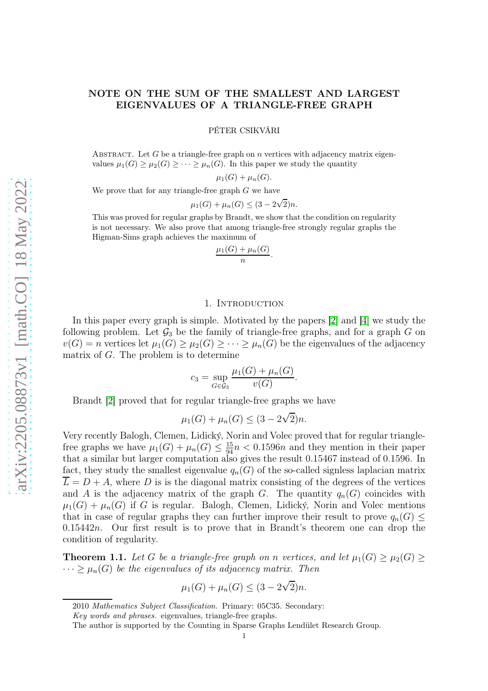# NOTE ON THE SUM OF THE SMALLEST AND LARGEST EIGENVALUES OF A TRIANGLE-FREE GRAPH

PÉTER CSIKVÁRI

ABSTRACT. Let G be a triangle-free graph on n vertices with adjacency matrix eigenvalues  $\mu_1(G) \geq \mu_2(G) \geq \cdots \geq \mu_n(G)$ . In this paper we study the quantity

$$
\mu_1(G) + \mu_n(G).
$$

We prove that for any triangle-free graph  $G$  we have

$$
\mu_1(G) + \mu_n(G) \le (3 - 2\sqrt{2})n.
$$

This was proved for regular graphs by Brandt, we show that the condition on regularity is not necessary. We also prove that among triangle-free strongly regular graphs the Higman-Sims graph achieves the maximum of

$$
\frac{\mu_1(G) + \mu_n(G)}{n}.
$$

### 1. INTRODUCTION

In this paper every graph is simple. Motivated by the papers [\[2\]](#page-4-0) and [\[4\]](#page-4-1) we study the following problem. Let  $\mathcal{G}_3$  be the family of triangle-free graphs, and for a graph G on  $v(G) = n$  vertices let  $\mu_1(G) \geq \mu_2(G) \geq \cdots \geq \mu_n(G)$  be the eigenvalues of the adjacency matrix of G. The problem is to determine

$$
c_3 = \sup_{G \in \mathcal{G}_3} \frac{\mu_1(G) + \mu_n(G)}{v(G)}
$$

.

Brandt [\[2\]](#page-4-0) proved that for regular triangle-free graphs we have

$$
\mu_1(G) + \mu_n(G) \le (3 - 2\sqrt{2})n.
$$

Very recently Balogh, Clemen, Lidický, Norin and Volec proved that for regular trianglefree graphs we have  $\mu_1(G) + \mu_n(G) \leq \frac{15}{94}n < 0.1596n$  and they mention in their paper that a similar but larger computation also gives the result 0.15467 instead of 0.1596. In fact, they study the smallest eigenvalue  $q_n(G)$  of the so-called signless laplacian matrix  $L = D + A$ , where D is is the diagonal matrix consisting of the degrees of the vertices and A is the adjacency matrix of the graph G. The quantity  $q_n(G)$  coincides with  $\mu_1(G) + \mu_n(G)$  if G is regular. Balogh, Clemen, Lidický, Norin and Volec mentions that in case of regular graphs they can further improve their result to prove  $q_n(G) \leq$ 0.15442n. Our first result is to prove that in Brandt's theorem one can drop the condition of regularity.

<span id="page-0-0"></span>**Theorem 1.1.** Let G be a triangle-free graph on n vertices, and let  $\mu_1(G) \geq \mu_2(G) \geq$  $\cdots \geq \mu_n(G)$  be the eigenvalues of its adjacency matrix. Then

$$
\mu_1(G) + \mu_n(G) \le (3 - 2\sqrt{2})n.
$$

<sup>2010</sup> Mathematics Subject Classification. Primary: 05C35. Secondary:

Key words and phrases. eigenvalues, triangle-free graphs.

The author is supported by the Counting in Sparse Graphs Lendület Research Group.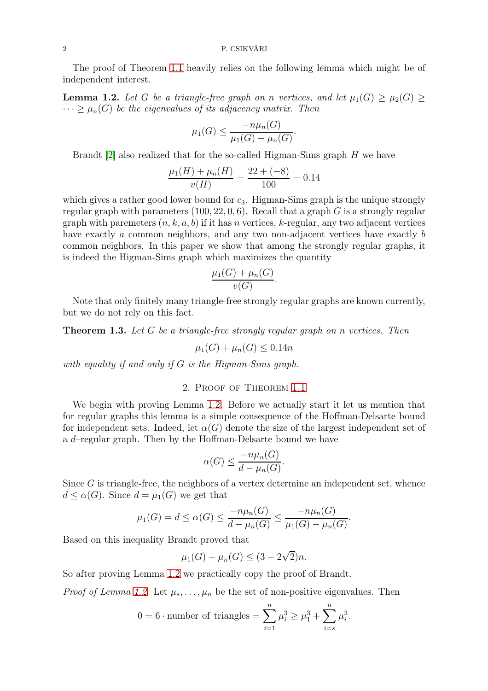The proof of Theorem [1.1](#page-0-0) heavily relies on the following lemma which might be of independent interest.

<span id="page-1-0"></span>**Lemma 1.2.** Let G be a triangle-free graph on n vertices, and let  $\mu_1(G) \geq \mu_2(G) \geq$  $\cdots \geq \mu_n(G)$  be the eigenvalues of its adjacency matrix. Then

$$
\mu_1(G) \le \frac{-n\mu_n(G)}{\mu_1(G) - \mu_n(G)}.
$$

Brandt [\[2\]](#page-4-0) also realized that for the so-called Higman-Sims graph H we have

$$
\frac{\mu_1(H) + \mu_n(H)}{v(H)} = \frac{22 + (-8)}{100} = 0.14
$$

which gives a rather good lower bound for  $c_3$ . Higman-Sims graph is the unique strongly regular graph with parameters  $(100, 22, 0, 6)$ . Recall that a graph G is a strongly regular graph with paremeters  $(n, k, a, b)$  if it has n vertices, k-regular, any two adjacent vertices have exactly a common neighbors, and any two non-adjacent vertices have exactly b common neighbors. In this paper we show that among the strongly regular graphs, it is indeed the Higman-Sims graph which maximizes the quantity

$$
\frac{\mu_1(G) + \mu_n(G)}{v(G)}.
$$

Note that only finitely many triangle-free strongly regular graphs are known currently, but we do not rely on this fact.

<span id="page-1-1"></span>**Theorem 1.3.** Let G be a triangle-free strongly regular graph on n vertices. Then

$$
\mu_1(G) + \mu_n(G) \le 0.14n
$$

with equality if and only if G is the Higman-Sims graph.

## 2. Proof of Theorem [1.1](#page-0-0)

We begin with proving Lemma [1.2.](#page-1-0) Before we actually start it let us mention that for regular graphs this lemma is a simple consequence of the Hoffman-Delsarte bound for independent sets. Indeed, let  $\alpha(G)$  denote the size of the largest independent set of a d–regular graph. Then by the Hoffman-Delsarte bound we have

$$
\alpha(G) \le \frac{-n\mu_n(G)}{d - \mu_n(G)}.
$$

Since  $G$  is triangle-free, the neighbors of a vertex determine an independent set, whence  $d \leq \alpha(G)$ . Since  $d = \mu_1(G)$  we get that

$$
\mu_1(G) = d \le \alpha(G) \le \frac{-n\mu_n(G)}{d - \mu_n(G)} \le \frac{-n\mu_n(G)}{\mu_1(G) - \mu_n(G)}.
$$

Based on this inequality Brandt proved that

$$
\mu_1(G) + \mu_n(G) \le (3 - 2\sqrt{2})n.
$$

So after proving Lemma [1.2](#page-1-0) we practically copy the proof of Brandt.

*Proof of Lemma [1.2.](#page-1-0)* Let  $\mu_s, \ldots, \mu_n$  be the set of non-positive eigenvalues. Then

$$
0 = 6
$$
 number of triangles  $= \sum_{i=1}^{n} \mu_i^3 \ge \mu_1^3 + \sum_{i=s}^{n} \mu_i^3$ .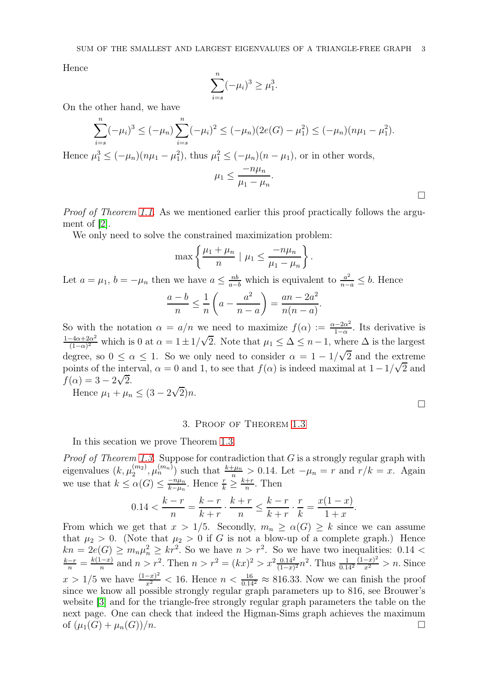Hence

$$
\sum_{i=s}^{n} (-\mu_i)^3 \ge \mu_1^3.
$$

On the other hand, we have

$$
\sum_{i=s}^{n} (-\mu_i)^3 \le (-\mu_n) \sum_{i=s}^{n} (-\mu_i)^2 \le (-\mu_n)(2e(G) - \mu_1^2) \le (-\mu_n)(n\mu_1 - \mu_1^2).
$$
  
Hence  $\mu_1^3 \le (-\mu_n)(n\mu_1 - \mu_1^2)$ , thus  $\mu_1^2 \le (-\mu_n)(n - \mu_1)$ , or in other words,  
 $\mu_1 \le \frac{-n\mu_n}{\mu_1 - \mu_n}.$ 

Proof of Theorem [1.1.](#page-0-0) As we mentioned earlier this proof practically follows the argument of [\[2\]](#page-4-0).

We only need to solve the constrained maximization problem:

$$
\max\left\{\frac{\mu_1+\mu_n}{n} \mid \mu_1 \leq \frac{-n\mu_n}{\mu_1-\mu_n}\right\}.
$$

Let  $a = \mu_1$ ,  $b = -\mu_n$  then we have  $a \leq \frac{nb}{a-b}$  which is equivalent to  $\frac{a^2}{n-a} \leq b$ . Hence

$$
\frac{a-b}{n} \le \frac{1}{n} \left( a - \frac{a^2}{n-a} \right) = \frac{an - 2a^2}{n(n-a)}.
$$

So with the notation  $\alpha = a/n$  we need to maximize  $f(\alpha) := \frac{\alpha - 2\alpha^2}{1 - \alpha}$  $\frac{1-2\alpha^2}{1-\alpha}$ . Its derivative is  $\frac{1-4\alpha+2\alpha^2}{4\alpha^2}$  $\frac{(-4\alpha+2\alpha^2}{(1-\alpha)^2}$  which is 0 at  $\alpha = 1 \pm 1/\sqrt{2}$ . Note that  $\mu_1 \leq \Delta \leq n-1$ , where  $\Delta$  is the largest degree, so  $0 \le \alpha \le 1$ . So we only need to consider  $\alpha = 1 - 1/\sqrt{2}$  and the extreme points of the interval,  $\alpha = 0$  and 1, to see that  $f(\alpha)$  is indeed maximal at  $1 - 1/\sqrt{2}$  and  $f(\alpha) = 3 - 2\sqrt{2}.$ 

Hence  $\mu_1 + \mu_n \leq (3 - 2\sqrt{2})n$ .

 $\Box$ 

### 3. Proof of Theorem [1.3](#page-1-1)

In this secation we prove Theorem [1.3.](#page-1-1)

*Proof of Theorem [1.3.](#page-1-1)* Suppose for contradiction that  $G$  is a strongly regular graph with eigenvalues  $(k, \mu_2^{(m_2)}, \mu_n^{(m_n)})$  such that  $\frac{k+\mu_n}{n} > 0.14$ . Let  $-\mu_n = r$  and  $r/k = x$ . Again we use that  $k \leq \alpha(G) \leq \frac{-n\mu_n}{k - \mu_n}$  $\frac{-n\mu_n}{k-\mu_n}$ . Hence  $\frac{r}{k} \geq \frac{k+r}{n}$  $\frac{+r}{n}$ . Then

$$
0.14 < \frac{k-r}{n} = \frac{k-r}{k+r} \cdot \frac{k+r}{n} \le \frac{k-r}{k+r} \cdot \frac{r}{k} = \frac{x(1-x)}{1+x}.
$$

From which we get that  $x > 1/5$ . Secondly,  $m_n \ge \alpha(G) \ge k$  since we can assume that  $\mu_2 > 0$ . (Note that  $\mu_2 > 0$  if G is not a blow-up of a complete graph.) Hence  $kn = 2e(G) \geq m_n \mu_n^2 \geq kr^2$ . So we have  $n > r^2$ . So we have two inequalities: 0.14 <  $\frac{k-r}{n} = \frac{k(1-x)}{n}$  and  $n > r^2$ . Then  $n > r^2 = (kx)^2 > x^2 \frac{0.14^2}{(1-x)^2} n^2$ . Thus  $\frac{1}{0.14^2} \frac{(1-x)^2}{x^2} > n$ . Since  $x > 1/5$  we have  $\frac{(1-x)^2}{x^2} < 16$ . Hence  $n < \frac{16}{0.14^2} \approx 816.33$ . Now we can finish the proof since we know all possible strongly regular graph parameters up to 816, see Brouwer's website [\[3\]](#page-4-2) and for the triangle-free strongly regular graph parameters the table on the next page. One can check that indeed the Higman-Sims graph achieves the maximum of  $(\mu_1(G) + \mu_n(G))/n$ .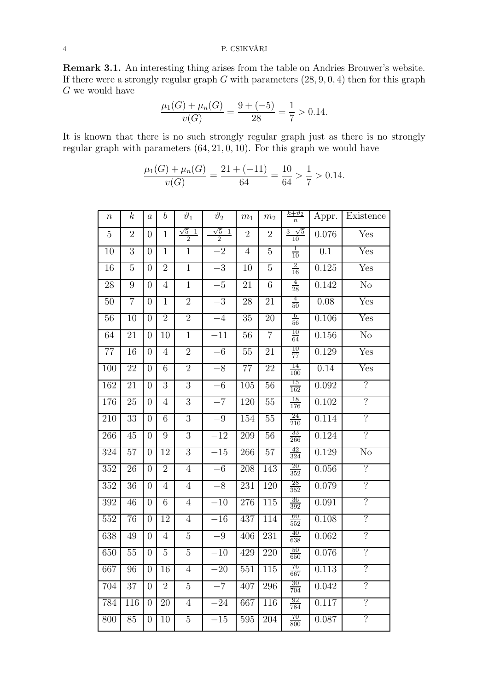Remark 3.1. An interesting thing arises from the table on Andries Brouwer's website. If there were a strongly regular graph  $G$  with parameters  $(28, 9, 0, 4)$  then for this graph  ${\cal G}$  we would have

$$
\frac{\mu_1(G) + \mu_n(G)}{v(G)} = \frac{9 + (-5)}{28} = \frac{1}{7} > 0.14.
$$

It is known that there is no such strongly regular graph just as there is no strongly regular graph with parameters  $(64, 21, 0, 10)$ . For this graph we would have

$$
\frac{\mu_1(G) + \mu_n(G)}{v(G)} = \frac{21 + (-11)}{64} = \frac{10}{64} > \frac{1}{7} > 0.14.
$$

| $\, n$           | $\boldsymbol{k}$ | $\boldsymbol{a}$ | $\boldsymbol{b}$ | $\vartheta_1$                  | $\vartheta_2$                  | m <sub>1</sub>   | m <sub>2</sub>  | $\frac{k+\vartheta_2}{n}$ | Appr.            | Existence                 |
|------------------|------------------|------------------|------------------|--------------------------------|--------------------------------|------------------|-----------------|---------------------------|------------------|---------------------------|
| 5                | $\overline{2}$   | $\overline{0}$   | 1                | $\sqrt{5}-1$<br>$\overline{2}$ | $\sqrt{5}-1$<br>$\overline{2}$ | $\overline{2}$   | $\overline{2}$  | $3-\sqrt{5}$<br>10        | 0.076            | Yes                       |
| 10               | 3                | $\Omega$         | $\overline{1}$   | $\mathbf{1}$                   | $-\overline{2}$                | $\overline{4}$   | $\overline{5}$  | $\frac{1}{10}$            | $\overline{0.1}$ | Yes                       |
| $\overline{16}$  | 5                | $\overline{0}$   | $\overline{2}$   | $\overline{1}$                 | $-3$                           | 10               | $\overline{5}$  | $\frac{2}{16}$            | 0.125            | $\overline{\mathrm{Yes}}$ |
| $\overline{28}$  | 9                | $\overline{0}$   | $\overline{4}$   | $\overline{1}$                 | $-5$                           | 21               | $\overline{6}$  | $\frac{4}{28}$            | 0.142            | $\overline{\text{No}}$    |
| 50               | 7                | $\overline{0}$   | $\overline{1}$   | $\overline{2}$                 | $-3$                           | 28               | 21              | $\frac{4}{50}$            | 0.08             | $\overline{\mathrm{Yes}}$ |
| $\overline{56}$  | 10               | $\overline{0}$   | $\overline{2}$   | $\overline{2}$                 | $-4$                           | $\overline{35}$  | $\overline{20}$ | $\frac{6}{56}$            | 0.106            | $\overline{\mathrm{Yes}}$ |
| 64               | 21               | $\overline{0}$   | 10               | $\mathbf{1}$                   | $-11$                          | 56               | $\overline{7}$  | $\frac{10}{64}$           | 0.156            | $\overline{\text{No}}$    |
| 77               | 16               | $\overline{0}$   | $\overline{4}$   | $\overline{2}$                 | $-6$                           | 55               | 21              | $\frac{10}{77}$           | 0.129            | Yes                       |
| 100              | 22               | $\overline{0}$   | 6                | $\overline{2}$                 | $-8$                           | 77               | 22              | 14<br>100                 | 0.14             | Yes                       |
| 162              | $\overline{21}$  | $\overline{0}$   | $\overline{3}$   | $\overline{3}$                 | $-6$                           | 105              | 56              | $\frac{15}{162}$          | 0.092            | $\overline{\cdot}$        |
| 176              | 25               | $\overline{0}$   | $\overline{4}$   | $\overline{3}$                 | $-7$                           | 120              | 55              | $\frac{18}{176}$          | 0.102            | $\overline{\cdot}$        |
| $\overline{210}$ | $\overline{33}$  | $\overline{0}$   | $\overline{6}$   | $\overline{3}$                 | $-9$                           | 154              | 55              | $\frac{24}{210}$          | 0.114            | $\overline{\mathcal{C}}$  |
| 266              | 45               | $\overline{0}$   | 9                | $\overline{3}$                 | $-12$                          | 209              | 56              | 33<br>$\frac{266}{ }$     | 0.124            | $\overline{?}$            |
| 324              | $\overline{57}$  | $\overline{0}$   | $\overline{12}$  | $\overline{3}$                 | $-15$                          | 266              | 57              | $\frac{42}{324}$          | 0.129            | $\overline{\text{No}}$    |
| $\overline{352}$ | $\overline{26}$  | $\overline{0}$   | $\overline{2}$   | $\overline{4}$                 | $-6$                           | 208              | 143             | $\frac{20}{352}$          | 0.056            | $\overline{\mathcal{C}}$  |
| $\overline{352}$ | 36               | $\overline{0}$   | $\overline{4}$   | $\overline{4}$                 | $-8$                           | 231              | 120             | $\frac{28}{352}$          | 0.079            | $\overline{?}$            |
| 392              | 46               | $\overline{0}$   | $6\overline{6}$  | $\overline{4}$                 | $-10$                          | $\overline{276}$ | 115             | $\frac{36}{392}$          | 0.091            | $\overline{\mathcal{C}}$  |
| $\overline{552}$ | 76               | $\overline{0}$   | 12               | $\overline{4}$                 | $-16$                          | 437              | 114             | 60<br>552                 | 0.108            | $\overline{\mathcal{C}}$  |
| 638              | 49               | $\overline{0}$   | $\overline{4}$   | $\overline{5}$                 | $-9\,$                         | 406              | 231             | 40<br>638                 | 0.062            | $\overline{?}$            |
| 650              | 55               | $\overline{0}$   | $\overline{5}$   | $\overline{5}$                 | $-10$                          | 429              | 220             | $\frac{50}{650}$          | 0.076            | $\overline{\mathcal{C}}$  |
| 667              | 96               | $\overline{0}$   | 16               | $\overline{4}$                 | $-20$                          | 551              | 115             | $\frac{76}{667}$          | 0.113            | $\overline{\cdot}$        |
| 704              | $\overline{37}$  | $\overline{0}$   | $\overline{2}$   | 5                              | $-7$                           | 407              | 296             | $\frac{30}{704}$          | 0.042            | ?                         |
| 784              | 116              | $\overline{0}$   | 20               | $\overline{4}$                 | $-24$                          | 667              | 116             | $\frac{92}{784}$          | 0.117            | $\overline{\cdot}$        |
| 800              | 85               | $\overline{0}$   | 10               | $\overline{5}$                 | $-15$                          | 595              | 204             | $\frac{70}{800}$          | 0.087            | ?                         |